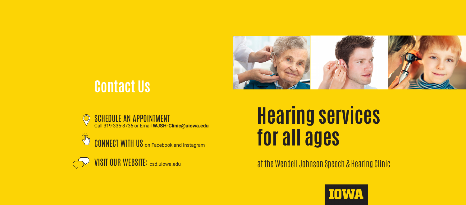

## **Contact Us**

SCHEDULE AN APPOINTMENT Call 319-335-8736 or Email **WJSH-Clinic@uiowa.edu**

**Virginia CONNECT WITH US** on Facebook and Instagram

VISIT OUR WEBSITE: csd.uiowa.edu

# **Hearing services for all ages**

#### at the Wendell Johnson Speech & Hearing Clinic